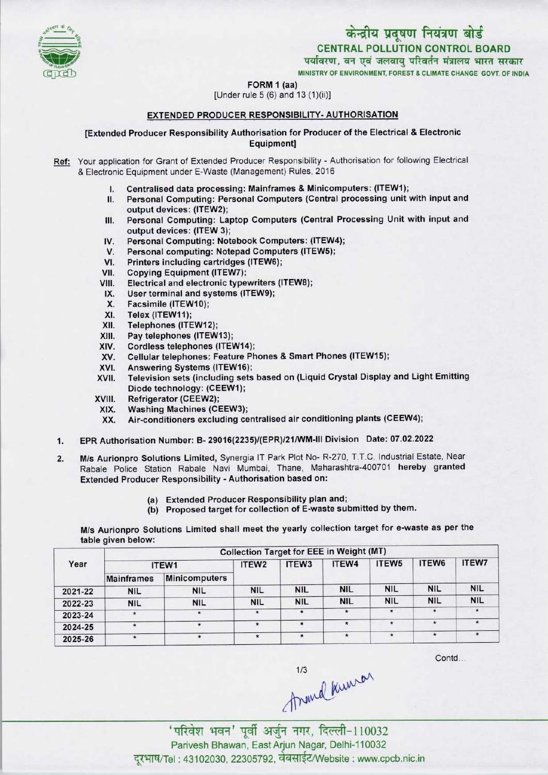

पर्यावरण, वन एवं जलवायु परिवर्तन मंत्रालय भारत सरकार<br>мінізтву оғ енуівонмент, ғовеѕт & сымате снансе соут, оғ інріа

FORM 1 (aa)



[Under rule 5 (6) and 13 (1)(ii)]

# EXTENDED PRODUCER RESPONSIBILITY- AUTHORISATION

# [Extended Producer Responsibility Authorisation for Producer of the Electrical & Electronic Equipment]

- Ref: Your application for Grant of Extended Producer Responsibility Authorisation for following Electrical & Electronic Equipment under E-Waste (Management) Rules, 2016
	- I. Centralised data processing: Mainframes & Minicomputers: (1TEW1);
	- II. Personal Computing: Personal Computers (Central processing unitwith input and output devices: (ITEW2);
	- III.Personal Computing: Laptop Computers(Central Processing Unit with input and output devices: (ITEW 3); III. Personal Computing: Laptop Computers (Central Picture output devices: (ITEW 3);<br>IV. Personal Computing: Notebook Computers: (ITEW4);<br>V. Personal computing: Notebook Computers (ITEW5);
	-
	- output devices: (ITEW 3);<br>V. Personal Computing: Notebook Computers: (ITEW<br>V. Personal computing: Notepad Computers (ITEW5);<br>I. Printers including contriduce (ITEW6); IV. Personal Computing: Notebook Computers: (ITEW4<br>V. Personal computing: Notepad Computers (ITEW5);<br>VI. Printers including cartridges (ITEW6);<br>VII. Copving Equipment (ITEW7);
	-
	- VII. Copying Equipment (ITEW7);<br>VIII. Electrical and electronic type
	- VI. Printers including cartridges (ITEW6);<br>VII. Copying Equipment (ITEW7);<br>VIII. Electrical and electronic typewriters (ITEW8);<br>IX. Hear terminal and evetems (ITEW9); III. Copying Equipment (TEWY);<br>III. Electrical and electronic typewriters<br>IX. User terminal and systems (ITEW9);
	- IX. User terminal and systems (ITEW9);<br>X. Facsimile (ITEW10);<br>XI. Telex (ITEW11);
	-
	- XI. Telex (ITEW11);<br>XII. Telephones (ITE
	-
	- XII. Telephones (ITEW12);<br>XIII. Pay telephones (ITEW
	- XIII. Pay telephones (ITEW13);<br>XIV. Cordless telephones (ITE) XIV. Cordless telephones (ITEW14);<br>XV. Cellular telephones: Feature Ph
	- XIII. Pay telephones (ITEW13);<br>KIV. Cordiess telephones (ITEW14);<br>XV. Cellular telephones: Feature Phones & Smart Phones (ITEW15); XIV. Cordiess telephones (ITEW14)<br>XV. Cellular telephones: Feature P<br>XVI. Answering Systems (ITEW16);<br>XVII. Television sets (including sets
	-
	- XVI. Answering Systems (ITEW16);<br>XVII. Television sets (including sets based on (Liquid Crystal Display and Light Emitting Diode technology: (CEEW1);
	- XVIII. Refrigerator(CEEW2);
	- XIX. Washing Machines (CEEW3);<br>XX. Air-conditioners excluding ce
	- Air-conditioners excluding centralised air conditioning plants (CEEW4);
- 1.EPR Authorisation Number: B- 29016(2235)/(EPR)/21/WM-lll Division Date: 07.02.2022
- 2. M/s Aurionpro Solutions Limited, Synergia IT Park Plot No- R-270, T.T.C. Industrial Estate, Near Rabale Police Station Rabale Navi Mumbai, Thane, Maharashtra-400701 hereby granted Extended Producer Responsibility - Authorisation based on:
	- (a) Extended Producer Responsibility plan and;
	- (b) Proposed target for collection of E-waste submitted by them.

M/s Aurionpro Solutions Limited shall meet the yearly collection target for e-waste as per the table given below:

| Year    | <b>Collection Target for EEE in Weight (MT)</b> |                      |                   |                   |              |                   |            |               |  |  |
|---------|-------------------------------------------------|----------------------|-------------------|-------------------|--------------|-------------------|------------|---------------|--|--|
|         | ITEW1                                           |                      | ITEW <sub>2</sub> | ITEW <sub>3</sub> | ITEW4        | ITEW <sub>5</sub> | ITEW6      | <b>ITEW7</b>  |  |  |
|         | <b>Mainframes</b>                               | <b>Minicomputers</b> |                   |                   |              |                   |            |               |  |  |
| 2021-22 | <b>NIL</b>                                      | <b>NIL</b>           | <b>NIL</b>        | <b>NIL</b>        | <b>NIL</b>   | <b>NIL</b>        | <b>NIL</b> | <b>NIL</b>    |  |  |
| 2022-23 | <b>NIL</b>                                      | <b>NIL</b>           | <b>NIL</b>        | <b>NIL</b>        | <b>NIL</b>   | <b>NIL</b>        | <b>NIL</b> | <b>NIL</b>    |  |  |
| 2023-24 | $\star$                                         | $\star$              | $\star$           | $\star$           |              | ۰                 | $\star$    | $\star$       |  |  |
| 2024-25 | $\star$                                         | $\star$              | $\star$           |                   | $\pmb{\ast}$ | $\star$           | $\star$    | $\star$       |  |  |
| 2025-26 |                                                 | $\star$              | $\star$           | $\star$           | $\star$      | $\star$           | $\star$    | $\pmb{\star}$ |  |  |

Contd...

is<br>Anwel Kuuron<br>Tarais and The Tomas Parivesh Bhawan, East Arjun Nagar, Delhi-110032 दुरभाष/Tel: 43102030, 22305792, वेबसाईट/Website : www.cpcb.nic.in

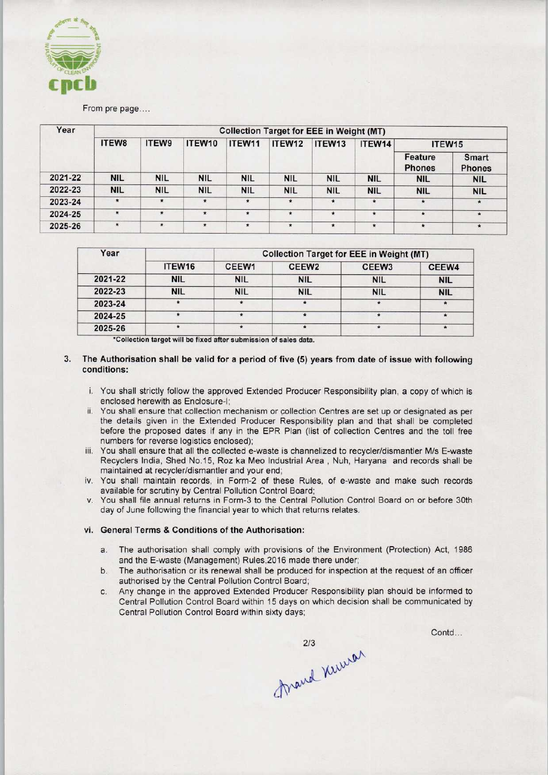

# From pre page....

| Year    | <b>Collection Target for EEE in Weight (MT)</b> |            |            |            |              |            |            |                          |                        |  |
|---------|-------------------------------------------------|------------|------------|------------|--------------|------------|------------|--------------------------|------------------------|--|
|         | <b>ITEW8</b>                                    | ITEW9      | ITEW10     | ITEW11     | ITEW12       | ITEW13     | ITEW14     | ITEW15                   |                        |  |
|         |                                                 |            |            |            |              |            |            | Feature<br><b>Phones</b> | Smart<br><b>Phones</b> |  |
| 2021-22 | <b>NIL</b>                                      | <b>NIL</b> | <b>NIL</b> | <b>NIL</b> | <b>NIL</b>   | <b>NIL</b> | <b>NIL</b> | <b>NIL</b>               | <b>NIL</b>             |  |
| 2022-23 | <b>NIL</b>                                      | <b>NIL</b> | <b>NIL</b> | <b>NIL</b> | <b>NIL</b>   | <b>NIL</b> | <b>NIL</b> | <b>NIL</b>               | <b>NIL</b>             |  |
| 2023-24 | $\star$                                         | $\star$    | $\star$    | $\star$    | $\pmb{\ast}$ | $\star$    | $\star$    | $\star$                  | $\star$                |  |
| 2024-25 | $\star$                                         | $\star$    | $\star$    | $\star$    | $\star$      | $\star$    | $\star$    | $\star$                  | $\star$                |  |
| 2025-26 | $\star$                                         | $\star$    | $\star$    | $\star$    | $\star$      | $\star$    | $\star$    | $\star$                  | $\star$                |  |

| Year    |                    | <b>Collection Target for EEE in Weight (MT)</b> |                   |                   |            |  |  |  |
|---------|--------------------|-------------------------------------------------|-------------------|-------------------|------------|--|--|--|
|         | ITEW <sub>16</sub> | CEEW1                                           | CEEW <sub>2</sub> | CEEW <sub>3</sub> | CEEW4      |  |  |  |
| 2021-22 | <b>NIL</b>         | <b>NIL</b>                                      | <b>NIL</b>        | <b>NIL</b>        | <b>NIL</b> |  |  |  |
| 2022-23 | <b>NIL</b>         | <b>NIL</b>                                      | <b>NIL</b>        | <b>NIL</b>        | <b>NIL</b> |  |  |  |
| 2023-24 | $\star$            | $\star$                                         | $\star$           | $\star$           |            |  |  |  |
| 2024-25 |                    |                                                 | $\star$           | ۰                 |            |  |  |  |
| 2025-26 |                    |                                                 | $\star$           | $\star$           |            |  |  |  |

'Collection target will be fixed after submission of sales data.

## 3. The Authorisation shall be valid for a period of five (5) years from date of issue with following conditions:

- i. You shall strictly follow the approved Extended Producer Responsibility plan, a copy of which is enclosed herewith as Enclosure-I;
- ii. You shall ensure that collection mechanism or collection Centres are set up or designated as per the details given in the Extended Producer Responsibility plan and that shall be completed before the proposed dates if any in the EPR Plan (list of collection Centres and the toll free numbers for reverse logistics enclosed);
- iii. You shall ensure that all the collected e-waste is channelized to recycler/dismantler M/s E-waste Recyclers India, Shed No.15, Roz ka Meo Industrial Area , Nuh, Haryana and records shall be maintained at recycler/dismantler and your end;
- iv. You shall maintain records, in Form-2 of these Rules, of e-waste and make such records available for scrutiny by Central Pollution Control Board;
- v. You shall file annual returns in Form-3 to the Central Pollution Control Board on or before 30th day of June following the financial year to which that returns relates.

### vi. General Terms & Conditions of the Authorisation:

- a. The authorisation shall comply with provisions of the Environment (Protection) Act, 1986 and the E-waste (Management) Rules,2016 made there under;
- b.The authorisation or its renewal shall be produced for inspection at the request of an officer authorised by the Central Pollution Control Board;
- c.Any change in the approved Extended Producer Responsibility plan should be informed to Central Pollution Control Board within 15 days on which decision shall be communicated by Central Pollution Control Board within sixty days;

Contd...

mand Kinner